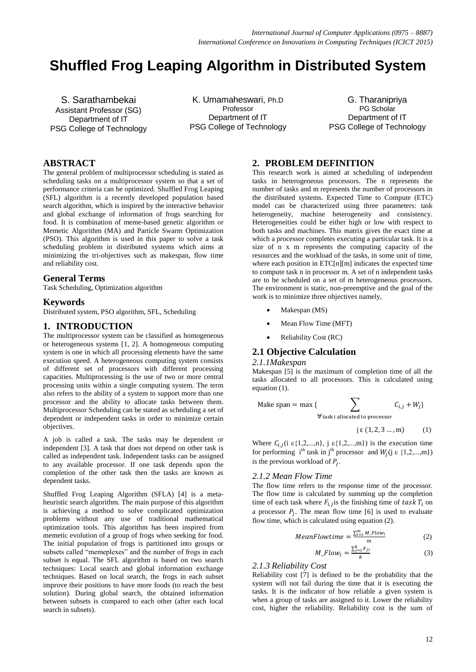# **Shuffled Frog Leaping Algorithm in Distributed System**

S. Sarathambekai Assistant Professor (SG) Department of IT PSG College of Technology

K. Umamaheswari, Ph.D Professor Department of IT PSG College of Technology

G. Tharanipriya PG Scholar Department of IT PSG College of Technology

## **ABSTRACT**

The general problem of multiprocessor scheduling is stated as scheduling tasks on a multiprocessor system so that a set of performance criteria can be optimized. Shuffled Frog Leaping (SFL) algorithm is a recently developed population based search algorithm, which is inspired by the interactive behavior and global exchange of information of frogs searching for food. It is combination of meme-based genetic algorithm or Memetic Algorithm (MA) and Particle Swarm Optimization (PSO). This algorithm is used in this paper to solve a task scheduling problem in distributed systems which aims at minimizing the tri-objectives such as makespan, flow time and reliability cost.

#### **General Terms**

Task Scheduling, Optimization algorithm

## **Keywords**

Distributed system, PSO algorithm, SFL, Scheduling

## **1. INTRODUCTION**

The multiprocessor system can be classified as homogeneous or heterogeneous systems [1, 2]. A homogeneous computing system is one in which all processing elements have the same execution speed. A heterogeneous computing system consists of different set of processors with different processing capacities. Multiprocessing is the use of two or more central processing units within a single computing system. The term also refers to the ability of a system to support more than one processor and the ability to allocate tasks between them. Multiprocessor Scheduling can be stated as scheduling a set of dependent or independent tasks in order to minimize certain objectives.

A job is called a task. The tasks may be dependent or independent [3]. A task that does not depend on other task is called as independent task. Independent tasks can be assigned to any available processor. If one task depends upon the completion of the other task then the tasks are known as dependent tasks.

Shuffled Frog Leaping Algorithm (SFLA) [4] is a metaheuristic search algorithm. The main purpose of this algorithm is achieving a method to solve complicated optimization problems without any use of traditional mathematical optimization tools. This algorithm has been inspired from memetic evolution of a group of frogs when seeking for food. The initial population of frogs is partitioned into groups or subsets called "memeplexes" and the number of frogs in each subset is equal. The SFL algorithm is based on two search techniques: Local search and global information exchange techniques. Based on local search, the frogs in each subset improve their positions to have more foods (to reach the best solution). During global search, the obtained information between subsets is compared to each other (after each local search in subsets).

## **2. PROBLEM DEFINITION**

This research work is aimed at scheduling of independent tasks in heterogeneous processors. The n represents the number of tasks and m represents the number of processors in the distributed systems. Expected Time to Compute (ETC) model can be characterized using three parameters: task heterogeneity, machine heterogeneity and consistency. Heterogeneities could be either high or low with respect to both tasks and machines. This matrix gives the exact time at which a processor completes executing a particular task. It is a size of n x m represents the computing capacity of the resources and the workload of the tasks, in some unit of time, where each position in ETC[n][m] indicates the expected time to compute task n in processor m. A set of n independent tasks are to be scheduled on a set of m heterogeneous processors. The environment is static, non-preemptive and the goal of the work is to minimize three objectives namely,

- Makespan (MS)
- Mean Flow Time (MFT)
- Reliability Cost (RC)

## **2.1 Objective Calculation**

#### *2.1.1Makespan*

Makespan [5] is the maximum of completion time of all the tasks allocated to all processors. This is calculated using equation (1).

Make span = max { 
$$
\sum_{\forall
$$
 task i allocated to processor} C<sub>i,j</sub> + W<sub>j</sub>}

 $j \in (1, 2, 3 \dots, m)$  (1)

Where  $C_{i,j}$  (i  $\varepsilon\{1,2,...,n\}$ , j  $\varepsilon\{1,2,...,m\}$ ) is the execution time for performing i<sup>th</sup> task in j<sup>th</sup> processor and  $W_i$  (j  $\in \{1, 2, ..., m\}$ ) is the previous workload of  $P_i$ .

#### *2.1.2 Mean Flow Time*

The flow time refers to the response time of the processor. The flow time is calculated by summing up the completion time of each task where  $F_{i,j}$  is the finishing time of task  $T_i$  on a processor  $P_i$ . The mean flow time [6] is used to evaluate flow time, which is calculated using equation (2).

$$
MeanFlowtime = \frac{\sum_{i=1}^{m} M\_Flow_i}{m}
$$
 (2)

$$
M\_Flow_i = \frac{\sum_{j=1}^{k} F_{ji}}{k} \tag{3}
$$

#### *2.1.3 Reliability Cost*

Reliability cost [7] is defined to be the probability that the system will not fail during the time that it is executing the tasks. It is the indicator of how reliable a given system is when a group of tasks are assigned to it. Lower the reliability cost, higher the reliability. Reliability cost is the sum of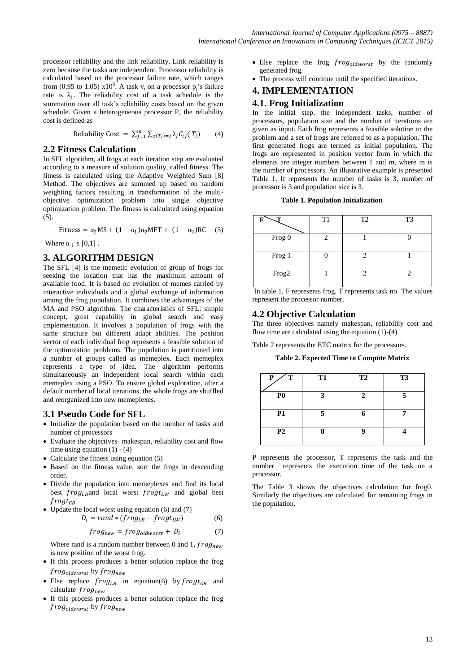processor reliability and the link reliability. Link reliability is zero because the tasks are independent. Processor reliability is calculated based on the processor failure rate, which ranges from (0.95 to 1.05)  $x10^6$ . A task  $v_i$  on a processor  $p_j$ 's failure rate is  $\lambda_i$ . The reliability cost of a task schedule is the summation over all task's reliability costs based on the given schedule. Given a heterogeneous processor P, the reliability cost is defined as

Reliability Cost = 
$$
\sum_{j=1}^{m} \sum_{x(T_i)=j} \lambda_j C_{ij}(T_i)
$$
 (4)

#### **2.2 Fitness Calculation**

In SFL algorithm, all frogs at each iteration step are evaluated according to a measure of solution quality, called fitness. The fitness is calculated using the Adaptive Weighted Sum [8] Method. The objectives are summed up based on random weighting factors resulting in transformation of the multiobjective optimization problem into single objective optimization problem. The fitness is calculated using equation (5).

$$
Fitness = \alpha_2 MS + (1 - \alpha_1)\alpha_2 MFT + (1 - \alpha_2) RC
$$
 (5)

Where  $\alpha_i \in [0,1]$ .

## **3. ALGORITHM DESIGN**

The SFL [4] is the memetic evolution of group of frogs for seeking the location that has the maximum amount of available food. It is based on evolution of memes carried by interactive individuals and a global exchange of information among the frog population. It combines the advantages of the MA and PSO algorithm. The characteristics of SFL: simple concept, great capability in global search and easy implementation. It involves a population of frogs with the same structure but different adapt abilities. The position vector of each individual frog represents a feasible solution of the optimization problems. The population is partitioned into a number of groups called as memeplex. Each memeplex represents a type of idea. The algorithm performs simultaneously an independent local search within each memeplex using a PSO. To ensure global exploration, after a default number of local iterations, the whole frogs are shuffled and reorganized into new memeplexes.

## **3.1 Pseudo Code for SFL**

- Initialize the population based on the number of tasks and number of processors
- Evaluate the objectives- makespan, reliability cost and flow time using equation  $(1) - (4)$
- Calculate the fitness using equation (5)
- Based on the fitness value, sort the frogs in descending order.
- Divide the population into memeplexes and find its local best  $frog_{LR}$  and local worst  $frog_{LW}$  and global best  $frogt_{GB}$
- Update the local worst using equation (6) and (7)  $D_i = rand * (froq_{i,p} - froq_{i,w})$  (6)

$$
f_{\text{max}} = f_{\text{max}} \tag{7}
$$

$$
frog_{new} = frog_{oldworst} + D_i \tag{7}
$$

Where rand is a random number between 0 and 1,  $frog_{new}$ is new position of the worst frog.

- If this process produces a better solution replace the frog  $frog_{oldworst}$  by  $frog_{new}$
- Else replace  $frog_{LB}$  in equation(6) by  $frog_{GB}$  and calculate  $frog_{new}$
- If this process produces a better solution replace the frog  $frog_{oldworst}$  by  $frog_{new}$
- Else replace the frog  $frog_{oldworst}$  by the randomly generated frog.
- The process will continue until the specified iterations.

## **4. IMPLEMENTATION**

#### **4.1. Frog Initialization**

In the initial step, the independent tasks, number of processors, population size and the number of iterations are given as input. Each frog represents a feasible solution to the problem and a set of frogs are referred to as a population. The first generated frogs are termed as initial population. The frogs are represented in position vector form in which the elements are integer numbers between 1 and m, where m is the number of processors. An illustrative example is presented Table 1. It represents the number of tasks is 3, number of processor is 3 and population size is 3.

**Table 1. Population Initialization**

| m                 | T1 | T <sub>2</sub> | T <sub>3</sub> |
|-------------------|----|----------------|----------------|
| Frog 0            |    |                |                |
| Frog 1            |    |                |                |
| Frog <sub>2</sub> |    |                |                |

In table 1, F represents frog. T represents task no. The values represent the processor number.

## **4.2 Objective Calculation**

The three objectives namely makespan, reliability cost and flow time are calculated using the equation  $(1)-(4)$ 

Table 2 represents the ETC matrix for the processors.

**Table 2. Expected Time to Compute Matrix**

| T<br>P         | <b>T1</b> | T2 | T <sub>3</sub> |
|----------------|-----------|----|----------------|
| P <sub>0</sub> |           |    |                |
| <b>P1</b>      | 5         |    |                |
| P <sub>2</sub> |           |    |                |

P represents the processor, T represents the task and the number represents the execution time of the task on a processor.

The Table 3 shows the objectives calculation for frog0. Similarly the objectives are calculated for remaining frogs in the population.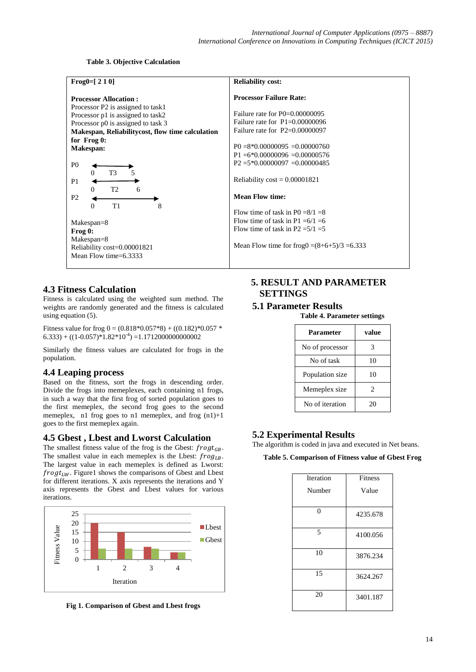#### **Table 3. Objective Calculation**

| Frog $0 = [2 1 0]$                                                                                                                                                                                                                                                                                                                                                                                                                                                                         | <b>Reliability cost:</b>                                                                                                                                                                                                                                                                                                                                                                                                                                                                     |
|--------------------------------------------------------------------------------------------------------------------------------------------------------------------------------------------------------------------------------------------------------------------------------------------------------------------------------------------------------------------------------------------------------------------------------------------------------------------------------------------|----------------------------------------------------------------------------------------------------------------------------------------------------------------------------------------------------------------------------------------------------------------------------------------------------------------------------------------------------------------------------------------------------------------------------------------------------------------------------------------------|
| <b>Processor Allocation:</b><br>Processor P2 is assigned to task1<br>Processor p1 is assigned to task2<br>Processor p0 is assigned to task 3<br>Makespan, Reliability cost, flow time calculation<br>for Frog 0:<br>Makespan:<br>P <sub>0</sub><br>T <sub>3</sub><br>5<br>$\Omega$<br>P <sub>1</sub><br>T <sub>2</sub><br>$\Omega$<br>6<br>P <sub>2</sub><br>T1<br>8<br>$\Omega$<br>$Makespan = 8$<br>Frog 0:<br>$Makespan = 8$<br>Reliability cost=0.00001821<br>Mean Flow time= $6.3333$ | <b>Processor Failure Rate:</b><br>Failure rate for $P0=0.00000095$<br>Failure rate for $P1=0.00000096$<br>Failure rate for $P2=0.00000097$<br>$P0 = 8*0.00000095 = 0.00000760$<br>$P1 = 6*0.00000096 = 0.00000576$<br>$P2 = 5*0.00000097 = 0.00000485$<br>Reliability $\cos t = 0.00001821$<br><b>Mean Flow time:</b><br>Flow time of task in P0 = $8/1$ = 8<br>Flow time of task in P1 = $6/1$ = 6<br>Flow time of task in P2 = $5/1 = 5$<br>Mean Flow time for frog0 = $(8+6+5)/3$ = 6.333 |
|                                                                                                                                                                                                                                                                                                                                                                                                                                                                                            |                                                                                                                                                                                                                                                                                                                                                                                                                                                                                              |

## **4.3 Fitness Calculation**

Fitness is calculated using the weighted sum method. The weights are randomly generated and the fitness is calculated using equation (5).

Fitness value for frog  $0 = (0.818*0.057*8) + ((0.182)*0.057*$  $(6.333) + ((1 - 0.057)^*1.82^*10^{-4}) = 1.1712000000000002$ 

Similarly the fitness values are calculated for frogs in the population.

## **4.4 Leaping process**

Based on the fitness, sort the frogs in descending order. Divide the frogs into memeplexes, each containing n1 frogs, in such a way that the first frog of sorted population goes to the first memeplex, the second frog goes to the second memeplex, n1 frog goes to n1 memeplex, and frog  $(n1)+1$ goes to the first memeplex again.

## **4.5 Gbest , Lbest and Lworst Calculation**

The smallest fitness value of the frog is the Gbest:  $frogt_{GB}$ . The smallest value in each memeplex is the Lbest:  $frog_{LB}$ . The largest value in each memeplex is defined as Lworst:  $frogt_{LW}$ . Figure1 shows the comparisons of Gbest and Lbest for different iterations. X axis represents the iterations and Y axis represents the Gbest and Lbest values for various iterations.



**Fig 1. Comparison of Gbest and Lbest frogs**

## **5. RESULT AND PARAMETER SETTINGS**

## **5.1 Parameter Results**

**Table 4. Parameter settings**

| Parameter       | value |
|-----------------|-------|
| No of processor | 3     |
| No of task      | 10    |
| Population size | 10    |
| Memeplex size   | 2     |
| No of iteration | 20    |

## **5.2 Experimental Results**

The algorithm is coded in java and executed in Net beans.

#### **Table 5. Comparison of Fitness value of Gbest Frog**

| Iteration | <b>Fitness</b> |
|-----------|----------------|
| Number    | Value          |
|           |                |
| $\theta$  | 4235.678       |
| 5         | 4100.056       |
| 10        | 3876.234       |
| 15        | 3624.267       |
| 20        | 3401.187       |